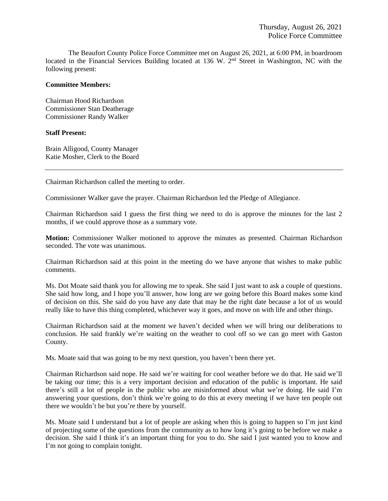The Beaufort County Police Force Committee met on August 26, 2021, at 6:00 PM, in boardroom located in the Financial Services Building located at 136 W. 2<sup>nd</sup> Street in Washington, NC with the following present:

## **Committee Members:**

Chairman Hood Richardson Commissioner Stan Deatherage Commissioner Randy Walker

## **Staff Present:**

Brain Alligood, County Manager Katie Mosher, Clerk to the Board

Chairman Richardson called the meeting to order.

Commissioner Walker gave the prayer. Chairman Richardson led the Pledge of Allegiance.

Chairman Richardson said I guess the first thing we need to do is approve the minutes for the last 2 months, if we could approve those as a summary vote.

**Motion:** Commissioner Walker motioned to approve the minutes as presented. Chairman Richardson seconded. The vote was unanimous.

Chairman Richardson said at this point in the meeting do we have anyone that wishes to make public comments.

Ms. Dot Moate said thank you for allowing me to speak. She said I just want to ask a couple of questions. She said how long, and I hope you'll answer, how long are we going before this Board makes some kind of decision on this. She said do you have any date that may be the right date because a lot of us would really like to have this thing completed, whichever way it goes, and move on with life and other things.

Chairman Richardson said at the moment we haven't decided when we will bring our deliberations to conclusion. He said frankly we're waiting on the weather to cool off so we can go meet with Gaston County.

Ms. Moate said that was going to be my next question, you haven't been there yet.

Chairman Richardson said nope. He said we're waiting for cool weather before we do that. He said we'll be taking our time; this is a very important decision and education of the public is important. He said there's still a lot of people in the public who are misinformed about what we're doing. He said I'm answering your questions, don't think we're going to do this at every meeting if we have ten people out there we wouldn't be but you're there by yourself.

Ms. Moate said I understand but a lot of people are asking when this is going to happen so I'm just kind of projecting some of the questions from the community as to how long it's going to be before we make a decision. She said I think it's an important thing for you to do. She said I just wanted you to know and I'm not going to complain tonight.